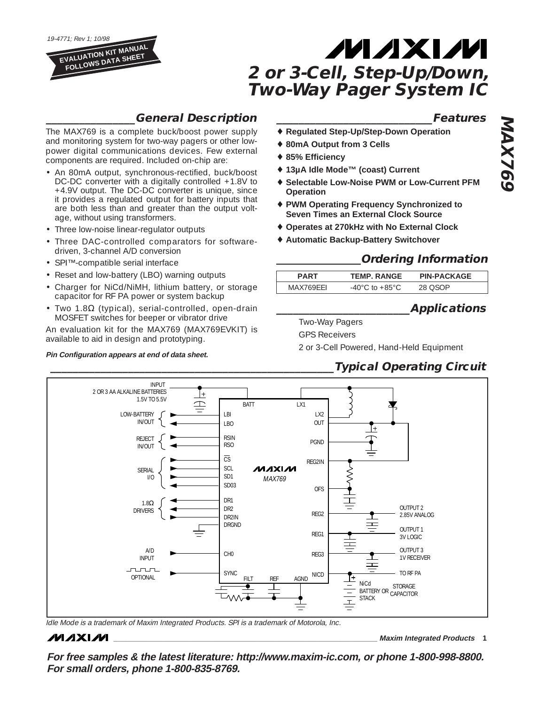19-4771; Rev 1; 10/98 **EVALUATION KIT MANUAL**

**FOLLOWS DATA SHEET**

# **MAXIM 2 or 3-Cell, Step-Up/Down, Two-Way Pager System IC**

### **\_\_\_\_\_\_\_\_\_\_\_\_\_\_\_\_General Description**

The MAX769 is a complete buck/boost power supply and monitoring system for two-way pagers or other lowpower digital communications devices. Few external components are required. Included on-chip are:

- An 80mA output, synchronous-rectified, buck/boost DC-DC converter with a digitally controlled +1.8V to +4.9V output. The DC-DC converter is unique, since it provides a regulated output for battery inputs that are both less than and greater than the output voltage, without using transformers.
- Three low-noise linear-regulator outputs
- Three DAC-controlled comparators for softwaredriven, 3-channel A/D conversion
- SPI™-compatible serial interface
- Reset and low-battery (LBO) warning outputs
- Charger for NiCd/NiMH, lithium battery, or storage capacitor for RF PA power or system backup
- Two 1.8Ω (typical), serial-controlled, open-drain MOSFET switches for beeper or vibrator drive

An evaluation kit for the MAX769 (MAX769EVKIT) is available to aid in design and prototyping.

#### **Pin Configuration appears at end of data sheet.**

#### **\_\_\_\_\_\_\_\_\_\_\_\_\_\_\_\_\_\_\_\_\_\_\_\_\_\_\_\_Features**

- **Regulated Step-Up/Step-Down Operation**
- ♦ **80mA Output from 3 Cells**
- ♦ **85% Efficiency**
- ♦ **13µA Idle Mode™ (coast) Current**
- **Selectable Low-Noise PWM or Low-Current PFM Operation**
- **PWM Operating Frequency Synchronized to Seven Times an External Clock Source**
- ♦ **Operates at 270kHz with No External Clock**
- **Automatic Backup-Battery Switchover**

### **Ordering Information**

| DADT      | <b>TEMP. RANGE</b>                  | <b>PIN-PACKAGE</b> |  |
|-----------|-------------------------------------|--------------------|--|
| MAX769FFL | $-40^{\circ}$ C to $+85^{\circ}$ C. | םראר<br>, , ,      |  |

### **\_\_\_\_\_\_\_\_\_\_\_\_\_\_\_\_\_\_\_\_\_\_\_\_Applications**

Two-Way Pagers GPS Receivers

2 or 3-Cell Powered, Hand-Held Equipment

### **\_\_\_\_\_\_\_\_\_\_\_\_\_\_\_\_\_\_\_\_\_\_\_\_\_\_\_\_\_\_\_\_\_\_\_\_\_\_\_\_\_\_\_\_\_\_\_\_\_\_\_Typical Operating Circuit**



Idle Mode is a trademark of Maxim Integrated Products. SPI is a trademark of Motorola, Inc.

### **MAXM**

**\_\_\_\_\_\_\_\_\_\_\_\_\_\_\_\_\_\_\_\_\_\_\_\_\_\_\_\_\_\_\_\_\_\_\_\_\_\_\_\_\_\_\_\_\_\_\_\_\_\_\_\_\_\_\_\_\_\_\_\_\_\_\_\_ Maxim Integrated Products 1**

**For free samples & the latest literature: http://www.maxim-ic.com, or phone 1-800-998-8800. For small orders, phone 1-800-835-8769.**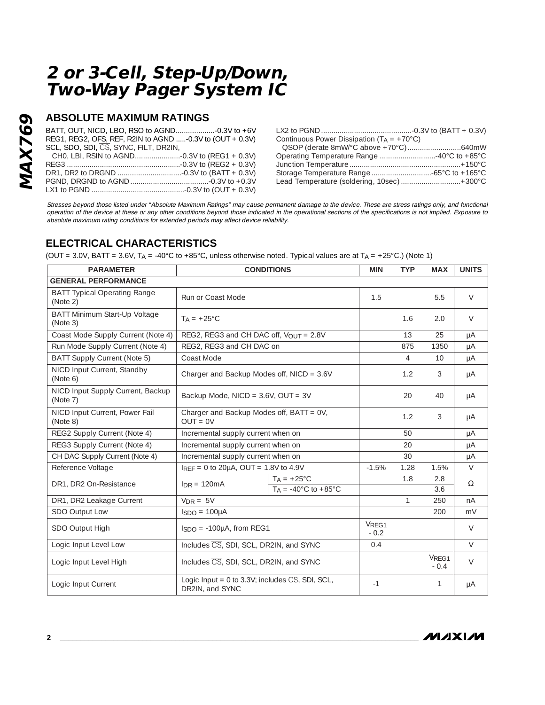### **ABSOLUTE MAXIMUM RATINGS**

BATT, OUT, NICD, LBO, RSO to AGND...................-0.3V to +6V REG1, REG2, OFS, REF, R2IN to AGND .....-0.3V to (OUT + 0.3V) SCL, SDO, SDI, CS, SYNC, FILT, DR2IN, CH0, LBI, RSIN to AGND......................-0.3V to (REG1 + 0.3V) REG3 .......................................................-0.3V to (REG2 + 0.3V) DR1, DR2 to DRGND ...............................-0.3V to (BATT + 0.3V) PGND, DRGND to AGND......................................-0.3V to +0.3V LX1 to PGND .............................................-0.3V to (OUT + 0.3V)

| Continuous Power Dissipation $(T_A = +70^{\circ}C)$ |  |
|-----------------------------------------------------|--|
|                                                     |  |
| Operating Temperature Range 40°C to +85°C           |  |
|                                                     |  |
|                                                     |  |
| Lead Temperature (soldering, 10sec) +300°C          |  |
|                                                     |  |

Stresses beyond those listed under "Absolute Maximum Ratings" may cause permanent damage to the device. These are stress ratings only, and functional operation of the device at these or any other conditions beyond those indicated in the operational sections of the specifications is not implied. Exposure to absolute maximum rating conditions for extended periods may affect device reliability.

### **ELECTRICAL CHARACTERISTICS**

(OUT = 3.0V, BATT = 3.6V, T<sub>A</sub> = -40°C to +85°C, unless otherwise noted. Typical values are at T<sub>A</sub> = +25°C.) (Note 1)

| <b>PARAMETER</b>                                |                                                                                    | <b>CONDITIONS</b>                                                | <b>MIN</b>                  | <b>TYP</b>      | <b>MAX</b> | <b>UNITS</b> |
|-------------------------------------------------|------------------------------------------------------------------------------------|------------------------------------------------------------------|-----------------------------|-----------------|------------|--------------|
| <b>GENERAL PERFORMANCE</b>                      |                                                                                    |                                                                  |                             |                 |            |              |
| <b>BATT Typical Operating Range</b><br>(Note 2) | Run or Coast Mode                                                                  |                                                                  | 1.5                         |                 | 5.5        | $\vee$       |
| BATT Minimum Start-Up Voltage<br>(Note 3)       | $T_A = +25^{\circ}C$                                                               |                                                                  |                             | 1.6             | 2.0        | $\vee$       |
| Coast Mode Supply Current (Note 4)              | REG2, REG3 and CH DAC off, VOUT = 2.8V                                             |                                                                  |                             | 13              | 25         | μA           |
| Run Mode Supply Current (Note 4)                | REG2, REG3 and CH DAC on                                                           |                                                                  |                             | 875             | 1350       | μA           |
| BATT Supply Current (Note 5)                    | Coast Mode                                                                         |                                                                  |                             | 4               | 10         | μA           |
| NICD Input Current, Standby<br>(Note 6)         | Charger and Backup Modes off, NICD = 3.6V                                          |                                                                  |                             | 1.2             | 3          | μA           |
| NICD Input Supply Current, Backup<br>(Note 7)   | Backup Mode, NICD = $3.6V$ , OUT = $3V$                                            |                                                                  | 20                          | 40              | μA         |              |
| NICD Input Current, Power Fail<br>(Note 8)      | Charger and Backup Modes off, BATT = 0V,<br>$OUT = OV$                             |                                                                  |                             | 1.2             | 3          | μA           |
| REG2 Supply Current (Note 4)                    | Incremental supply current when on                                                 |                                                                  |                             | 50              |            | μA           |
| REG3 Supply Current (Note 4)                    | Incremental supply current when on                                                 |                                                                  |                             | 20              |            | μA           |
| CH DAC Supply Current (Note 4)                  | Incremental supply current when on                                                 |                                                                  |                             | 30              |            | μA           |
| Reference Voltage                               | $I_{REF} = 0$ to 20 $\mu$ A, OUT = 1.8V to 4.9V                                    |                                                                  | $-1.5%$                     | 1.28            | 1.5%       | $\vee$       |
| DR1, DR2 On-Resistance                          | $InR = 120mA$                                                                      | $T_A = +25^{\circ}C$<br>$T_A = -40^{\circ}$ C to $+85^{\circ}$ C |                             | 1.8             | 2.8<br>3.6 | $\Omega$     |
| DR1, DR2 Leakage Current                        | $V_{DR} = 5V$                                                                      |                                                                  |                             | $\mathbf{1}$    | 250        | nA           |
| SDO Output Low                                  | $ISDO = 100\mu A$                                                                  |                                                                  |                             |                 | 200        | mV           |
| SDO Output High                                 | $ISDO = -100\mu A$ , from REG1                                                     |                                                                  | V <sub>REG1</sub><br>$-0.2$ |                 |            | $\vee$       |
| Logic Input Level Low                           | Includes CS, SDI, SCL, DR2IN, and SYNC                                             |                                                                  | 0.4                         |                 |            | $\vee$       |
| Logic Input Level High                          | Includes CS, SDI, SCL, DR2IN, and SYNC                                             |                                                                  |                             | VREG1<br>$-0.4$ | $\vee$     |              |
| Logic Input Current                             | Logic Input = $0$ to 3.3V; includes $\overline{CS}$ , SDI, SCL,<br>DR2IN, and SYNC |                                                                  | $-1$                        |                 | 1          | μA           |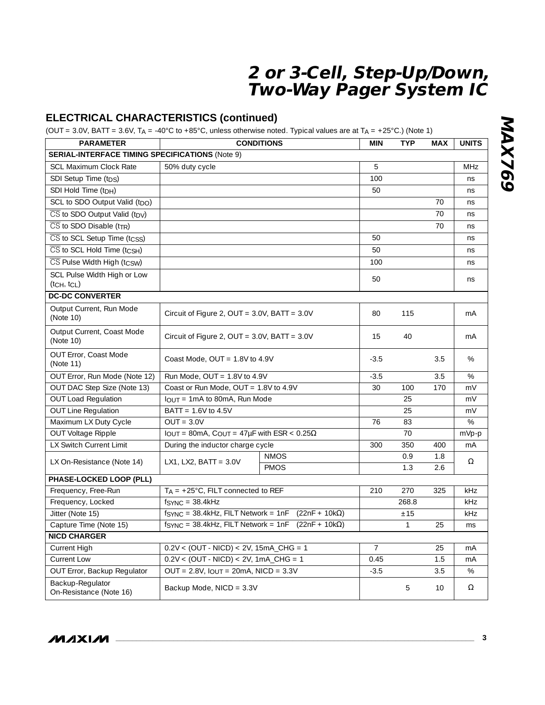### **ELECTRICAL CHARACTERISTICS (continued)**

(OUT = 3.0V, BATT = 3.6V, TA = -40°C to +85°C, unless otherwise noted. Typical values are at TA = +25°C.) (Note 1)

| <b>PARAMETER</b>                                              | <b>CONDITIONS</b>                                                          |             |                | <b>TYP</b>   | <b>MAX</b> | <b>UNITS</b> |
|---------------------------------------------------------------|----------------------------------------------------------------------------|-------------|----------------|--------------|------------|--------------|
| <b>SERIAL-INTERFACE TIMING SPECIFICATIONS (Note 9)</b>        |                                                                            |             |                |              |            |              |
| <b>SCL Maximum Clock Rate</b>                                 | 50% duty cycle                                                             |             | 5              |              |            | <b>MHz</b>   |
| SDI Setup Time (t <sub>DS</sub> )                             |                                                                            |             | 100            |              |            | ns           |
| SDI Hold Time (t <sub>DH</sub> )                              |                                                                            |             | 50             |              |            | ns           |
| SCL to SDO Output Valid (tpo)                                 |                                                                            |             |                |              | 70         | ns           |
| $\overline{\text{CS}}$ to SDO Output Valid (t <sub>DV</sub> ) |                                                                            |             |                |              | 70         | ns           |
| $\overline{\text{CS}}$ to SDO Disable (t <sub>TR</sub> )      |                                                                            |             |                |              | 70         | ns           |
| $\overline{\text{CS}}$ to SCL Setup Time (tcss)               |                                                                            |             | 50             |              |            | ns           |
| $\overline{\text{CS}}$ to SCL Hold Time (tcsH)                |                                                                            |             | 50             |              |            | ns           |
| CS Pulse Width High (tcsw)                                    |                                                                            |             | 100            |              |            | ns           |
| SCL Pulse Width High or Low<br>$(t$ CH, $t$ CL)               |                                                                            |             | 50             |              |            | ns           |
| <b>DC-DC CONVERTER</b>                                        |                                                                            |             |                |              |            |              |
|                                                               |                                                                            |             |                |              |            |              |
| Output Current, Run Mode<br>(Note 10)                         | Circuit of Figure 2, OUT = $3.0V$ , BATT = $3.0V$                          |             | 80             | 115          |            | mA           |
| Output Current, Coast Mode<br>(Note 10)                       | Circuit of Figure 2, OUT = $3.0V$ , BATT = $3.0V$                          |             | 15             | 40           |            | mA           |
| OUT Error, Coast Mode<br>(Note 11)                            | Coast Mode, $OUT = 1.8V$ to 4.9V                                           |             | $-3.5$         |              | 3.5        | %            |
| OUT Error, Run Mode (Note 12)                                 | Run Mode, $OUT = 1.8V$ to 4.9V                                             |             | $-3.5$         |              | 3.5        | $\%$         |
| OUT DAC Step Size (Note 13)                                   | Coast or Run Mode, OUT = $1.8V$ to 4.9V                                    |             | 30             | 100          | 170        | mV           |
| <b>OUT Load Regulation</b>                                    | $I$ <sub>OUT</sub> = 1mA to 80mA, Run Mode                                 |             |                | 25           |            | mV           |
| <b>OUT Line Regulation</b>                                    | BATT = 1.6V to 4.5V                                                        |             |                | 25           |            | mV           |
| Maximum LX Duty Cycle                                         | $OUT = 3.0V$                                                               |             | 76             | 83           |            | $\%$         |
| OUT Voltage Ripple                                            | $I_{OUT} = 80mA$ , $C_{OUT} = 47\mu F$ with $ESR < 0.25\Omega$             |             |                | 70           |            | mVp-p        |
| LX Switch Current Limit                                       | During the inductor charge cycle                                           |             | 300            | 350          | 400        | mA           |
| LX On-Resistance (Note 14)                                    | LX1, LX2, BATT = $3.0V$                                                    | <b>NMOS</b> |                | 0.9          | 1.8        | Ω            |
|                                                               |                                                                            | <b>PMOS</b> |                | 1.3          | 2.6        |              |
| PHASE-LOCKED LOOP (PLL)                                       |                                                                            |             |                |              |            |              |
| Frequency, Free-Run                                           | $T_A = +25^{\circ}$ C, FILT connected to REF                               |             | 210            | 270          | 325        | kHz          |
| Frequency, Locked                                             | $fSYNC = 38.4kHz$                                                          |             |                | 268.8        |            | kHz          |
| Jitter (Note 15)                                              | $f_{\text{SYNC}} = 38.4$ kHz, FILT Network = 1nF    (22nF + 10k $\Omega$ ) |             |                | ±15          |            | kHz          |
| Capture Time (Note 15)                                        | $f_{\text{SYNC}} = 38.4$ kHz, FILT Network = 1nF   (22nF + 10k $\Omega$ )  |             |                | $\mathbf{1}$ | 25         | ms           |
| <b>NICD CHARGER</b>                                           |                                                                            |             |                |              |            |              |
| <b>Current High</b>                                           | $0.2V < (OUT - NICD) < 2V, 15mA_CHG = 1$                                   |             | $\overline{7}$ |              | 25         | mA           |
| Current Low                                                   | $0.2V < (OUT - NICD) < 2V, 1mA_CHG = 1$                                    |             | 0.45           |              | 1.5        | mA           |
| OUT Error, Backup Regulator                                   | $OUT = 2.8V, IOUT = 20mA, NICD = 3.3V$                                     |             | $-3.5$         |              | 3.5        | $\%$         |
| Backup-Regulator<br>On-Resistance (Note 16)                   | Backup Mode, NICD = 3.3V                                                   |             |                | 5            | 10         | Ω            |

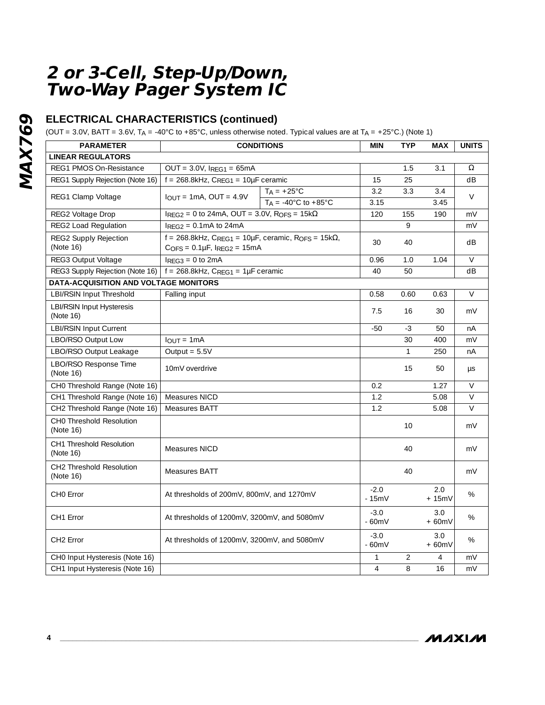## **ELECTRICAL CHARACTERISTICS (continued)**

(OUT = 3.0V, BATT = 3.6V, TA = -40°C to +85°C, unless otherwise noted. Typical values are at TA = +25°C.) (Note 1)

| <b>PARAMETER</b>                              | <b>CONDITIONS</b>                                                                                                           |                                          |                   | <b>TYP</b>     | <b>MAX</b>     | <b>UNITS</b> |
|-----------------------------------------------|-----------------------------------------------------------------------------------------------------------------------------|------------------------------------------|-------------------|----------------|----------------|--------------|
| <b>LINEAR REGULATORS</b>                      |                                                                                                                             |                                          |                   |                |                |              |
| REG1 PMOS On-Resistance                       | $OUT = 3.0V, IRFG1 = 65mA$                                                                                                  |                                          |                   | 1.5            | 3.1            | Ω            |
| REG1 Supply Rejection (Note 16)               | $f = 268.8kHz$ , CREG1 = 10µF ceramic                                                                                       |                                          | 15                | 25             |                | dB           |
| REG1 Clamp Voltage                            | $IOUT = 1mA, OUT = 4.9V$                                                                                                    | $TA = +25^{\circ}C$                      | 3.2               | 3.3            | 3.4            | $\vee$       |
|                                               |                                                                                                                             | $T_A = -40^{\circ}$ C to $+85^{\circ}$ C | 3.15              |                | 3.45           |              |
| REG2 Voltage Drop                             | $I_{REG2} = 0$ to 24mA, OUT = 3.0V, R <sub>OFS</sub> = 15k $\Omega$                                                         |                                          | 120               | 155            | 190            | mV           |
| REG2 Load Regulation                          | $I_{REG2} = 0.1mA$ to 24mA                                                                                                  |                                          |                   | 9              |                | mV           |
| REG2 Supply Rejection<br>(Note 16)            | $f = 268.8$ kHz, C <sub>REG1</sub> = 10µF, ceramic, R <sub>OFS</sub> = 15k $\Omega$ ,<br>$C$ OFS = $0.1\mu$ F, IREG2 = 15mA |                                          | 30                | 40             |                | dB           |
| REG3 Output Voltage                           | $I_{RFG3} = 0$ to 2mA                                                                                                       |                                          | 0.96              | 1.0            | 1.04           | $\vee$       |
| REG3 Supply Rejection (Note 16)               | $f = 268.8$ kHz, CREG1 = 1µF ceramic                                                                                        |                                          | 40                | 50             |                | dB           |
| DATA-ACQUISITION AND VOLTAGE MONITORS         |                                                                                                                             |                                          |                   |                |                |              |
| LBI/RSIN Input Threshold                      | Falling input                                                                                                               |                                          | 0.58              | 0.60           | 0.63           | $\vee$       |
| <b>LBI/RSIN Input Hysteresis</b><br>(Note 16) |                                                                                                                             |                                          | 7.5               | 16             | 30             | mV           |
| <b>LBI/RSIN Input Current</b>                 |                                                                                                                             |                                          | $-50$             | $-3$           | 50             | nA           |
| LBO/RSO Output Low                            | $I_{OUT} = 1mA$                                                                                                             |                                          |                   | 30             | 400            | mV           |
| LBO/RSO Output Leakage                        | Output = $5.5V$                                                                                                             |                                          |                   | $\mathbf{1}$   | 250            | nA           |
| LBO/RSO Response Time<br>(Note 16)            | 10mV overdrive                                                                                                              |                                          |                   | 15             | 50             | $\mu s$      |
| CH0 Threshold Range (Note 16)                 |                                                                                                                             |                                          | 0.2               |                | 1.27           | $\vee$       |
| CH1 Threshold Range (Note 16)                 | Measures NICD                                                                                                               |                                          | 1.2               |                | 5.08           | $\vee$       |
| CH2 Threshold Range (Note 16)                 | Measures BATT                                                                                                               |                                          | 1.2               |                | 5.08           | $\vee$       |
| <b>CHO Threshold Resolution</b><br>(Note 16)  |                                                                                                                             |                                          |                   | 10             |                | mV           |
| CH1 Threshold Resolution<br>(Note 16)         | Measures NICD                                                                                                               |                                          |                   | 40             |                | mV           |
| CH2 Threshold Resolution<br>(Note 16)         | Measures BATT                                                                                                               |                                          |                   | 40             |                | mV           |
| CHO Error                                     | At thresholds of 200mV, 800mV, and 1270mV                                                                                   |                                          | $-2.0$<br>$-15mV$ |                | 2.0<br>$+15mV$ | %            |
| CH <sub>1</sub> Error                         | At thresholds of 1200mV, 3200mV, and 5080mV                                                                                 |                                          | $-3.0$<br>$-60mV$ |                | 3.0<br>$+60mV$ | %            |
| CH <sub>2</sub> Error                         | At thresholds of 1200mV, 3200mV, and 5080mV                                                                                 |                                          | $-3.0$<br>$-60mV$ |                | 3.0<br>$+60mV$ | %            |
| CH0 Input Hysteresis (Note 16)                |                                                                                                                             |                                          | $\mathbf{1}$      | $\overline{2}$ | $\overline{4}$ | mV           |
| CH1 Input Hysteresis (Note 16)                |                                                                                                                             |                                          | $\overline{4}$    | 8              | 16             | mV           |

**MAXIM**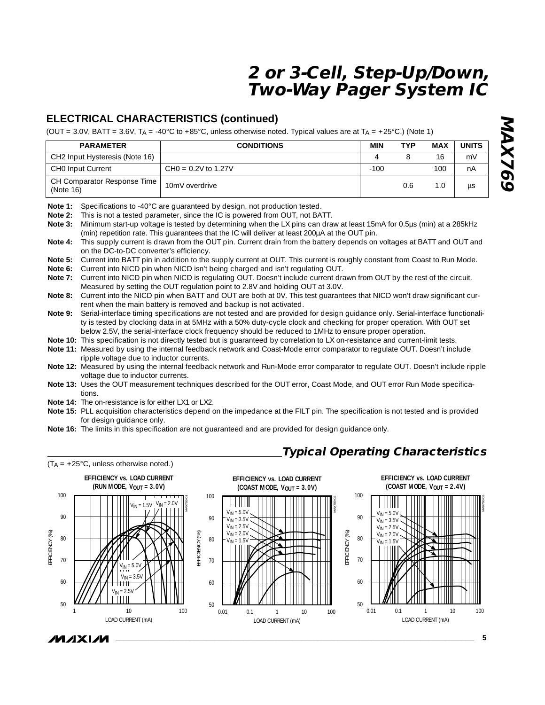**Typical Operating Characteristics**

### **ELECTRICAL CHARACTERISTICS (continued)**

(OUT = 3.0V, BATT = 3.6V, T<sub>A</sub> = -40°C to +85°C, unless otherwise noted. Typical values are at T<sub>A</sub> = +25°C.) (Note 1)

| <b>PARAMETER</b>                           | <b>CONDITIONS</b>     | MIN    | TYP | MAX | <b>UNITS</b> |
|--------------------------------------------|-----------------------|--------|-----|-----|--------------|
| CH2 Input Hysteresis (Note 16)             |                       |        |     | 16  | m١           |
| CHO Input Current                          | $CHO = 0.2V$ to 1.27V | $-100$ |     | 100 | nΑ           |
| CH Comparator Response Time  <br>(Note 16) | 10mV overdrive        |        | 0.6 | 1.0 |              |

**Note 1:** Specifications to -40°C are guaranteed by design, not production tested.<br>**Note 2:** This is not a tested parameter, since the IC is powered from OUT, not BA This is not a tested parameter, since the IC is powered from OUT, not BATT.

**Note 3:** Minimum start-up voltage is tested by determining when the LX pins can draw at least 15mA for 0.5µs (min) at a 285kHz (min) repetition rate. This guarantees that the IC will deliver at least 200µA at the OUT pin.

**Note 4:** This supply current is drawn from the OUT pin. Current drain from the battery depends on voltages at BATT and OUT and on the DC-to-DC converter's efficiency.

**Note 5:** Current into BATT pin in addition to the supply current at OUT. This current is roughly constant from Coast to Run Mode.<br>Note 6: Current into NICD pin when NICD isn't being charged and isn't regulating OUT.

Current into NICD pin when NICD isn't being charged and isn't regulating OUT.

**Note 7:** Current into NICD pin when NICD is regulating OUT. Doesn't include current drawn from OUT by the rest of the circuit. Measured by setting the OUT regulation point to 2.8V and holding OUT at 3.0V.

**Note 8:** Current into the NICD pin when BATT and OUT are both at 0V. This test guarantees that NICD won't draw significant current when the main battery is removed and backup is not activated.

**Note 9:** Serial-interface timing specifications are not tested and are provided for design guidance only. Serial-interface functionality is tested by clocking data in at 5MHz with a 50% duty-cycle clock and checking for proper operation. With OUT set below 2.5V, the serial-interface clock frequency should be reduced to 1MHz to ensure proper operation.

**Note 10:** This specification is not directly tested but is guaranteed by correlation to LX on-resistance and current-limit tests.

**Note 11:** Measured by using the internal feedback network and Coast-Mode error comparator to regulate OUT. Doesn't include ripple voltage due to inductor currents.

**Note 12:** Measured by using the internal feedback network and Run-Mode error comparator to regulate OUT. Doesn't include ripple voltage due to inductor currents.

**Note 13:** Uses the OUT measurement techniques described for the OUT error, Coast Mode, and OUT error Run Mode specifications.

**Note 14:** The on-resistance is for either LX1 or LX2.

**Note 15:** PLL acquisition characteristics depend on the impedance at the FILT pin. The specification is not tested and is provided for design guidance only.

**Note 16:** The limits in this specification are not guaranteed and are provided for design guidance only.

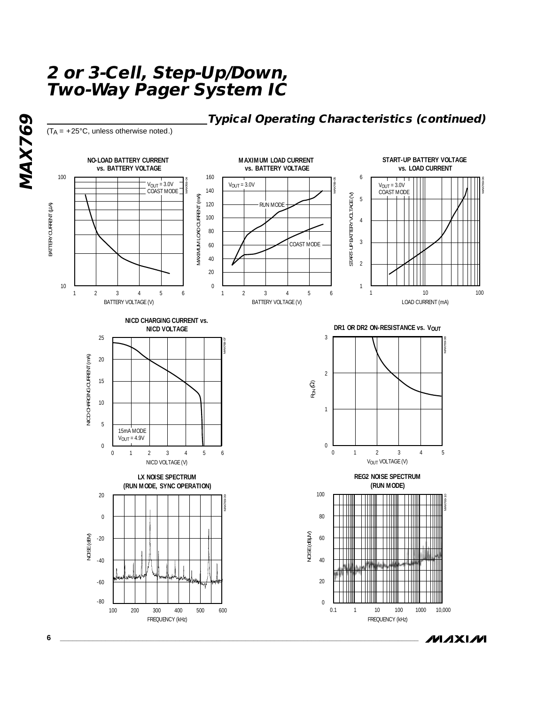**Typical Operating Characteristics (continued)**

 $(T_A = +25^{\circ}C,$  unless otherwise noted.)

**MAX769**

MAX769



**MAXIM**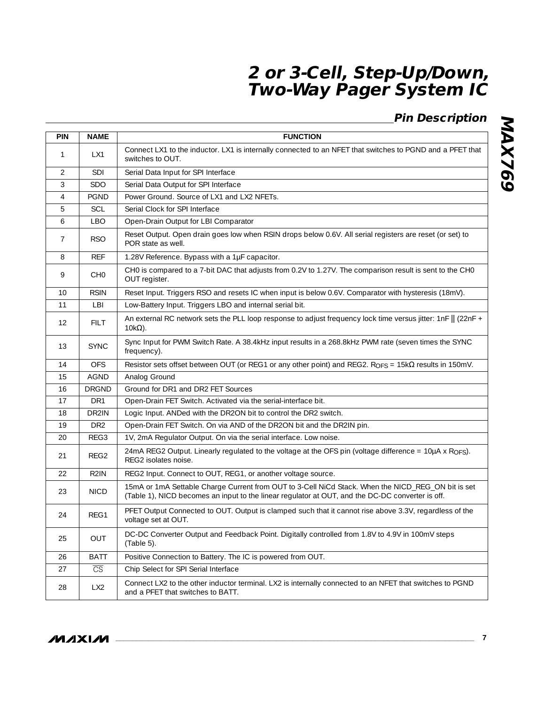# **Pin Description**

| <b>PIN</b>     | <b>NAME</b>            | <b>FUNCTION</b>                                                                                                                                                                                        |
|----------------|------------------------|--------------------------------------------------------------------------------------------------------------------------------------------------------------------------------------------------------|
| $\mathbf{1}$   | LX1                    | Connect LX1 to the inductor. LX1 is internally connected to an NFET that switches to PGND and a PFET that<br>switches to OUT.                                                                          |
| $\mathcal{P}$  | SDI                    | Serial Data Input for SPI Interface                                                                                                                                                                    |
| 3              | <b>SDO</b>             | Serial Data Output for SPI Interface                                                                                                                                                                   |
| $\overline{4}$ | <b>PGND</b>            | Power Ground. Source of LX1 and LX2 NFETs.                                                                                                                                                             |
| 5              | SCL                    | Serial Clock for SPI Interface                                                                                                                                                                         |
| 6              | <b>LBO</b>             | Open-Drain Output for LBI Comparator                                                                                                                                                                   |
| $\overline{7}$ | RSO.                   | Reset Output. Open drain goes low when RSIN drops below 0.6V. All serial registers are reset (or set) to<br>POR state as well.                                                                         |
| 8              | <b>REF</b>             | 1.28V Reference. Bypass with a 1µF capacitor.                                                                                                                                                          |
| 9              | CH <sub>0</sub>        | CH0 is compared to a 7-bit DAC that adjusts from 0.2V to 1.27V. The comparison result is sent to the CH0<br>OUT register.                                                                              |
| 10             | <b>RSIN</b>            | Reset Input. Triggers RSO and resets IC when input is below 0.6V. Comparator with hysteresis (18mV).                                                                                                   |
| 11             | LBI                    | Low-Battery Input. Triggers LBO and internal serial bit.                                                                                                                                               |
| 12             | <b>FILT</b>            | An external RC network sets the PLL loop response to adjust frequency lock time versus jitter: $1nF \parallel (22nF +$<br>$10k\Omega$ ).                                                               |
| 13             | <b>SYNC</b>            | Sync Input for PWM Switch Rate. A 38.4kHz input results in a 268.8kHz PWM rate (seven times the SYNC<br>frequency).                                                                                    |
| 14             | <b>OFS</b>             | Resistor sets offset between OUT (or REG1 or any other point) and REG2. R <sub>OFS</sub> = $15k\Omega$ results in 150mV.                                                                               |
| 15             | <b>AGND</b>            | Analog Ground                                                                                                                                                                                          |
| 16             | <b>DRGND</b>           | Ground for DR1 and DR2 FET Sources                                                                                                                                                                     |
| 17             | DR1                    | Open-Drain FET Switch. Activated via the serial-interface bit.                                                                                                                                         |
| 18             | DR2IN                  | Logic Input. ANDed with the DR2ON bit to control the DR2 switch.                                                                                                                                       |
| 19             | DR <sub>2</sub>        | Open-Drain FET Switch. On via AND of the DR2ON bit and the DR2IN pin.                                                                                                                                  |
| 20             | REG3                   | 1V, 2mA Regulator Output. On via the serial interface. Low noise.                                                                                                                                      |
| 21             | REG <sub>2</sub>       | 24mA REG2 Output. Linearly regulated to the voltage at the OFS pin (voltage difference = 10µA x RoFs).<br>REG2 isolates noise.                                                                         |
| 22             | R <sub>2</sub> IN      | REG2 Input. Connect to OUT, REG1, or another voltage source.                                                                                                                                           |
| 23             | <b>NICD</b>            | 15mA or 1mA Settable Charge Current from OUT to 3-Cell NiCd Stack. When the NICD_REG_ON bit is set<br>(Table 1), NICD becomes an input to the linear regulator at OUT, and the DC-DC converter is off. |
| 24             | REG1                   | PFET Output Connected to OUT. Output is clamped such that it cannot rise above 3.3V, regardless of the<br>voltage set at OUT.                                                                          |
| 25             | OUT                    | DC-DC Converter Output and Feedback Point. Digitally controlled from 1.8V to 4.9V in 100mV steps<br>$(Table 5)$ .                                                                                      |
| 26             | <b>BATT</b>            | Positive Connection to Battery. The IC is powered from OUT.                                                                                                                                            |
| 27             | $\overline{\text{CS}}$ | Chip Select for SPI Serial Interface                                                                                                                                                                   |
| 28             | LX <sub>2</sub>        | Connect LX2 to the other inductor terminal. LX2 is internally connected to an NFET that switches to PGND<br>and a PFET that switches to BATT.                                                          |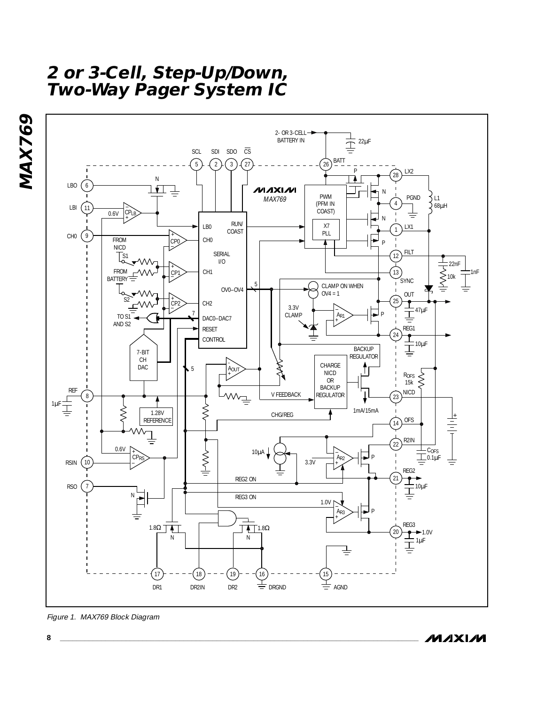



Figure 1. MAX769 Block Diagram

**MAXM**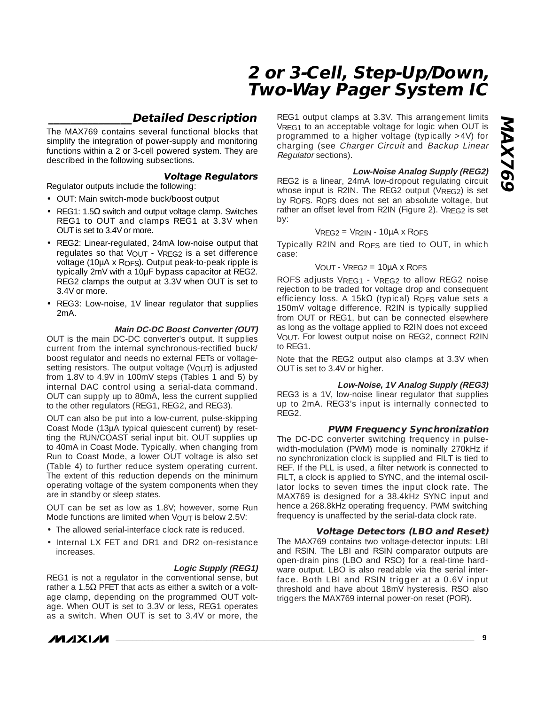### **\_\_\_\_\_\_\_\_\_\_\_\_\_\_\_Detailed Description**

The MAX769 contains several functional blocks that simplify the integration of power-supply and monitoring functions within a 2 or 3-cell powered system. They are described in the following subsections.

#### **Voltage Regulators**

- Regulator outputs include the following: • OUT: Main switch-mode buck/boost output
- REG1: 1.5 $\Omega$  switch and output voltage clamp. Switches REG1 to OUT and clamps REG1 at 3.3V when OUT is set to 3.4V or more.
- REG2: Linear-regulated, 24mA low-noise output that regulates so that VOUT - VREG2 is a set difference voltage (10µA x ROFS). Output peak-to-peak ripple is typically 2mV with a 10µF bypass capacitor at REG2. REG2 clamps the output at 3.3V when OUT is set to 3.4V or more.
- REG3: Low-noise, 1V linear regulator that supplies 2mA.

#### **Main DC-DC Boost Converter (OUT)**

OUT is the main DC-DC converter's output. It supplies current from the internal synchronous-rectified buck/ boost regulator and needs no external FETs or voltagesetting resistors. The output voltage (VOUT) is adjusted from 1.8V to 4.9V in 100mV steps (Tables 1 and 5) by internal DAC control using a serial-data command. OUT can supply up to 80mA, less the current supplied to the other regulators (REG1, REG2, and REG3).

OUT can also be put into a low-current, pulse-skipping Coast Mode (13µA typical quiescent current) by resetting the RUN/COAST serial input bit. OUT supplies up to 40mA in Coast Mode. Typically, when changing from Run to Coast Mode, a lower OUT voltage is also set (Table 4) to further reduce system operating current. The extent of this reduction depends on the minimum operating voltage of the system components when they are in standby or sleep states.

OUT can be set as low as 1.8V; however, some Run Mode functions are limited when VOUT is below 2.5V:

- The allowed serial-interface clock rate is reduced.
- Internal LX FET and DR1 and DR2 on-resistance increases.

#### **Logic Supply (REG1)**

REG1 is not a regulator in the conventional sense, but rather a 1.5Ω PFET that acts as either a switch or a voltage clamp, depending on the programmed OUT voltage. When OUT is set to 3.3V or less, REG1 operates as a switch. When OUT is set to 3.4V or more, the



REG1 output clamps at 3.3V. This arrangement limits VREG1 to an acceptable voltage for logic when OUT is programmed to a higher voltage (typically >4V) for charging (see Charger Circuit and Backup Linear Regulator sections).

#### **Low-Noise Analog Supply (REG2)**

REG2 is a linear, 24mA low-dropout regulating circuit whose input is R2IN. The REG2 output (VREG2) is set by ROFS. ROFS does not set an absolute voltage, but rather an offset level from R2IN (Figure 2). VREG2 is set by:

#### $VREG2 = VR2IN - 10\mu A \times ROFS$

Typically R2IN and ROFS are tied to OUT, in which case:

#### VOUT -  $V$ REG2 = 10µA x ROES

ROFS adjusts VREG1 - VREG2 to allow REG2 noise rejection to be traded for voltage drop and consequent efficiency loss. A 15k $\Omega$  (typical) R<sub>OFS</sub> value sets a 150mV voltage difference. R2IN is typically supplied from OUT or REG1, but can be connected elsewhere as long as the voltage applied to R2IN does not exceed VOUT. For lowest output noise on REG2, connect R2IN to REG1.

Note that the REG2 output also clamps at 3.3V when OUT is set to 3.4V or higher.

#### **Low-Noise, 1V Analog Supply (REG3)**

REG3 is a 1V, low-noise linear regulator that supplies up to 2mA. REG3's input is internally connected to REG2.

#### **PWM Frequency Synchronization**

The DC-DC converter switching frequency in pulsewidth-modulation (PWM) mode is nominally 270kHz if no synchronization clock is supplied and FILT is tied to REF. If the PLL is used, a filter network is connected to FILT, a clock is applied to SYNC, and the internal oscillator locks to seven times the input clock rate. The MAX769 is designed for a 38.4kHz SYNC input and hence a 268.8kHz operating frequency. PWM switching frequency is unaffected by the serial-data clock rate.

#### **Voltage Detectors (LBO and Reset)**

The MAX769 contains two voltage-detector inputs: LBI and RSIN. The LBI and RSIN comparator outputs are open-drain pins (LBO and RSO) for a real-time hardware output. LBO is also readable via the serial interface. Both LBI and RSIN trigger at a 0.6V input threshold and have about 18mV hysteresis. RSO also triggers the MAX769 internal power-on reset (POR).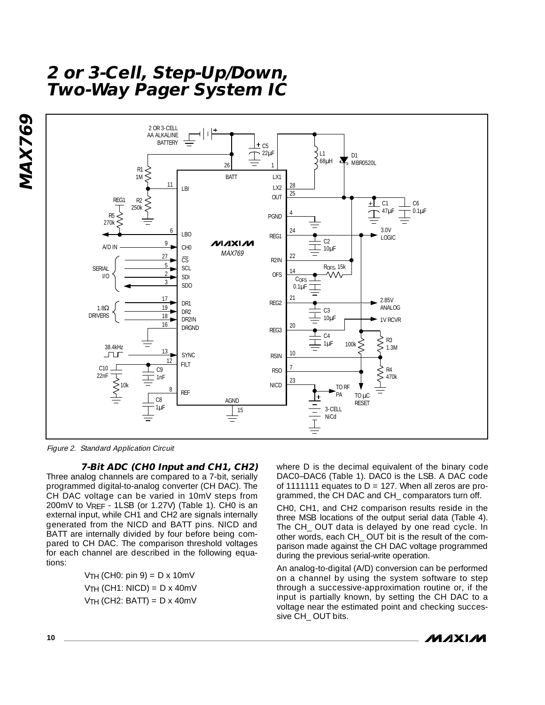

Figure 2. Standard Application Circuit

#### **7-Bit ADC (CH0 Input and CH1, CH2)**

Three analog channels are compared to a 7-bit, serially programmed digital-to-analog converter (CH DAC). The CH DAC voltage can be varied in 10mV steps from 200mV to VREF - 1LSB (or 1.27V) (Table 1). CH0 is an external input, while CH1 and CH2 are signals internally generated from the NICD and BATT pins. NICD and BATT are internally divided by four before being compared to CH DAC. The comparison threshold voltages for each channel are described in the following equations:

> $VTH$  (CH0: pin 9) = D x 10mV  $VTH$  (CH1: NICD) = D x 40mV  $VTH$  (CH2: BATT) = D x 40mV

where D is the decimal equivalent of the binary code DAC0–DAC6 (Table 1). DAC0 is the LSB. A DAC code of 11111111 equates to  $D = 127$ . When all zeros are programmed, the CH DAC and CH\_ comparators turn off.

CH0, CH1, and CH2 comparison results reside in the three MSB locations of the output serial data (Table 4). The CH\_ OUT data is delayed by one read cycle. In other words, each CH\_ OUT bit is the result of the comparison made against the CH DAC voltage programmed during the previous serial-write operation.

An analog-to-digital (A/D) conversion can be performed on a channel by using the system software to step through a successive-approximation routine or, if the input is partially known, by setting the CH DAC to a voltage near the estimated point and checking successive CH\_ OUT bits.

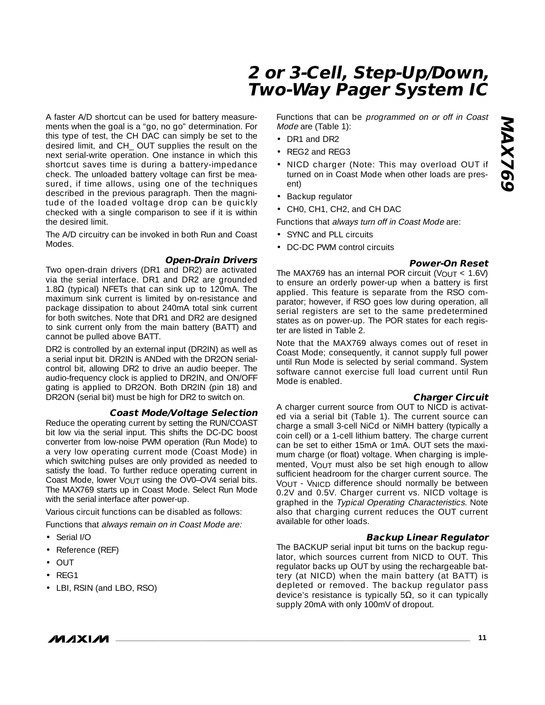A faster A/D shortcut can be used for battery measurements when the goal is a "go, no go" determination. For this type of test, the CH DAC can simply be set to the desired limit, and CH\_ OUT supplies the result on the next serial-write operation. One instance in which this shortcut saves time is during a battery-impedance check. The unloaded battery voltage can first be measured, if time allows, using one of the techniques described in the previous paragraph. Then the magnitude of the loaded voltage drop can be quickly checked with a single comparison to see if it is within the desired limit.

The A/D circuitry can be invoked in both Run and Coast Modes.

#### **Open-Drain Drivers**

Two open-drain drivers (DR1 and DR2) are activated via the serial interface. DR1 and DR2 are grounded 1.8Ω (typical) NFETs that can sink up to 120mA. The maximum sink current is limited by on-resistance and package dissipation to about 240mA total sink current for both switches. Note that DR1 and DR2 are designed to sink current only from the main battery (BATT) and cannot be pulled above BATT.

DR2 is controlled by an external input (DR2IN) as well as a serial input bit. DR2IN is ANDed with the DR2ON serialcontrol bit, allowing DR2 to drive an audio beeper. The audio-frequency clock is applied to DR2IN, and ON/OFF gating is applied to DR2ON. Both DR2IN (pin 18) and DR2ON (serial bit) must be high for DR2 to switch on.

#### **Coast Mode/Voltage Selection**

Reduce the operating current by setting the RUN/COAST bit low via the serial input. This shifts the DC-DC boost converter from low-noise PWM operation (Run Mode) to a very low operating current mode (Coast Mode) in which switching pulses are only provided as needed to satisfy the load. To further reduce operating current in Coast Mode, lower VOUT using the OV0-OV4 serial bits. The MAX769 starts up in Coast Mode. Select Run Mode with the serial interface after power-up.

Various circuit functions can be disabled as follows:

Functions that always remain on in Coast Mode are:

- Serial I/O
- Reference (REF)
- OUT
- REG1
- LBI, RSIN (and LBO, RSO)

Functions that can be programmed on or off in Coast Mode are (Table 1):

- DR1 and DR2
- REG2 and REG3
- NICD charger (Note: This may overload OUT if turned on in Coast Mode when other loads are present)
- Backup regulator
- CH0, CH1, CH2, and CH DAC

Functions that always turn off in Coast Mode are:

- SYNC and PLL circuits
- DC-DC PWM control circuits

#### **Power-On Reset**

The MAX769 has an internal POR circuit ( $V_{\text{OUT}} < 1.6V$ ) to ensure an orderly power-up when a battery is first applied. This feature is separate from the RSO comparator; however, if RSO goes low during operation, all serial registers are set to the same predetermined states as on power-up. The POR states for each register are listed in Table 2.

Note that the MAX769 always comes out of reset in Coast Mode; consequently, it cannot supply full power until Run Mode is selected by serial command. System software cannot exercise full load current until Run Mode is enabled.

#### **Charger Circuit**

A charger current source from OUT to NICD is activated via a serial bit (Table 1). The current source can charge a small 3-cell NiCd or NiMH battery (typically a coin cell) or a 1-cell lithium battery. The charge current can be set to either 15mA or 1mA. OUT sets the maximum charge (or float) voltage. When charging is implemented, VOUT must also be set high enough to allow sufficient headroom for the charger current source. The VOUT - VNICD difference should normally be between 0.2V and 0.5V. Charger current vs. NICD voltage is graphed in the Typical Operating Characteristics. Note also that charging current reduces the OUT current available for other loads.

#### **Backup Linear Regulator**

The BACKUP serial input bit turns on the backup regulator, which sources current from NICD to OUT. This regulator backs up OUT by using the rechargeable battery (at NICD) when the main battery (at BATT) is depleted or removed. The backup regulator pass device's resistance is typically  $5Ω$ , so it can typically supply 20mA with only 100mV of dropout.



**\_\_\_\_\_\_\_\_\_\_\_\_\_\_\_\_\_\_\_\_\_\_\_\_\_\_\_\_\_\_\_\_\_\_\_\_\_\_\_\_\_\_\_\_\_\_\_\_\_\_\_\_\_\_\_\_\_\_\_\_\_\_\_\_\_\_\_\_\_\_\_\_\_\_\_\_\_\_\_\_\_\_\_\_\_\_ 11**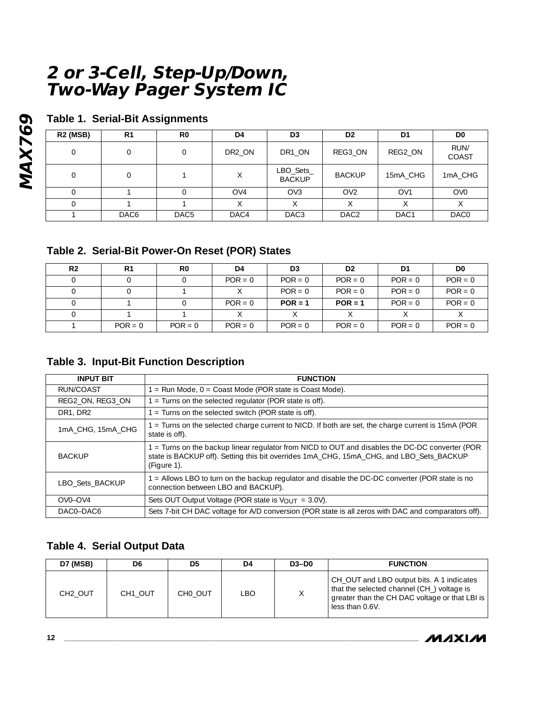### **Table 1. Serial-Bit Assignments**

| <b>R2 (MSB)</b> | R <sub>1</sub>   | R0               | D4     | D3                         | D <sub>2</sub>   | D1              | D0              |
|-----------------|------------------|------------------|--------|----------------------------|------------------|-----------------|-----------------|
| $\Omega$        | 0                |                  | DR2_ON | DR1 ON                     | REG3_ON          | REG2_ON         | RUN/<br>COAST   |
| $\Omega$        | 0                |                  | Χ      | LBO_Sets_<br><b>BACKUP</b> | <b>BACKUP</b>    | 15mA_CHG        | 1mA_CHG         |
|                 |                  |                  | OVA    | OV <sub>3</sub>            | OV <sub>2</sub>  | OV <sub>1</sub> | OV <sub>0</sub> |
|                 |                  |                  |        | X                          | Χ                | $\checkmark$    | Χ               |
|                 | DAC <sub>6</sub> | DAC <sub>5</sub> | DAC4   | DAC <sub>3</sub>           | DAC <sub>2</sub> | DAC1            | DAC0            |

### **Table 2. Serial-Bit Power-On Reset (POR) States**

| R <sub>2</sub> | R1        | R0        | D4        | D <sub>3</sub> | D <sub>2</sub> | D1        | D0        |
|----------------|-----------|-----------|-----------|----------------|----------------|-----------|-----------|
|                |           |           | $POR = 0$ | $POR = 0$      | $POR = 0$      | $POR = 0$ | $POR = 0$ |
|                |           |           |           | $POR = 0$      | $POR = 0$      | $POR = 0$ | $POR = 0$ |
|                |           |           | $POR = 0$ | $POR = 1$      | $POR = 1$      | $POR = 0$ | $POR = 0$ |
|                |           |           |           |                |                |           |           |
|                | $POR = 0$ | $POR = 0$ | $POR = 0$ | $POR = 0$      | $POR = 0$      | $POR = 0$ | $POR = 0$ |

### **Table 3. Input-Bit Function Description**

| <b>INPUT BIT</b>  | <b>FUNCTION</b>                                                                                                                                                                                           |
|-------------------|-----------------------------------------------------------------------------------------------------------------------------------------------------------------------------------------------------------|
| RUN/COAST         | $1 =$ Run Mode, $0 =$ Coast Mode (POR state is Coast Mode).                                                                                                                                               |
| REG2 ON, REG3 ON  | $1 =$ Turns on the selected regulator (POR state is off).                                                                                                                                                 |
| DR1, DR2          | $1 =$ Turns on the selected switch (POR state is off).                                                                                                                                                    |
| 1mA CHG, 15mA CHG | 1 = Turns on the selected charge current to NICD. If both are set, the charge current is 15mA (POR<br>state is off).                                                                                      |
| <b>BACKUP</b>     | 1 = Turns on the backup linear regulator from NICD to OUT and disables the DC-DC converter (POR<br>state is BACKUP off). Setting this bit overrides 1mA CHG, 15mA CHG, and LBO Sets BACKUP<br>(Figure 1). |
| LBO Sets BACKUP   | 1 = Allows LBO to turn on the backup regulator and disable the DC-DC converter (POR state is no<br>connection between LBO and BACKUP).                                                                    |
| $OVO-OV4$         | Sets OUT Output Voltage (POR state is $V_{\text{OUT}} = 3.0V$ ).                                                                                                                                          |
| DAC0-DAC6         | Sets 7-bit CH DAC voltage for A/D conversion (POR state is all zeros with DAC and comparators off).                                                                                                       |

### **Table 4. Serial Output Data**

| D7 (MSB)            | D6                  | D5      | D4  | $D3-D0$ | <b>FUNCTION</b>                                                                                                                                             |
|---------------------|---------------------|---------|-----|---------|-------------------------------------------------------------------------------------------------------------------------------------------------------------|
| CH <sub>2</sub> OUT | CH <sub>1</sub> OUT | CHO OUT | _BO |         | CH_OUT and LBO output bits. A 1 indicates<br>that the selected channel (CH) voltage is<br>greater than the CH DAC voltage or that LBI is<br>less than 0.6V. |

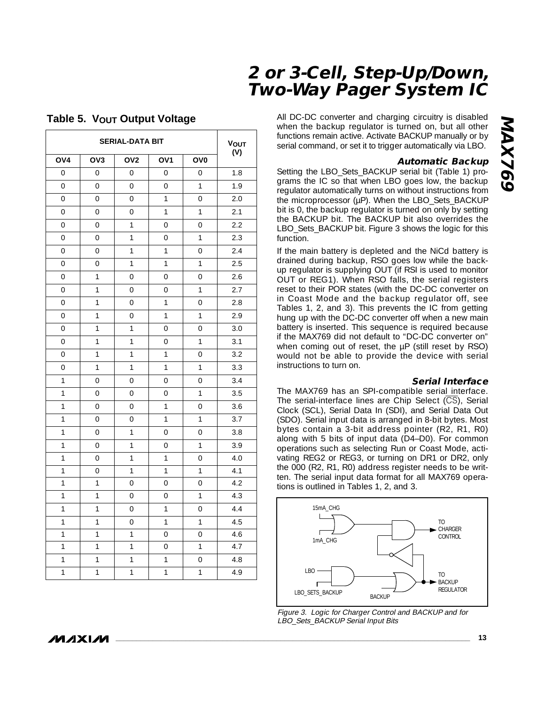|                | <b>VOUT</b><br>(V) |                     |                 |                 |     |
|----------------|--------------------|---------------------|-----------------|-----------------|-----|
| OV4            | OV <sub>3</sub>    | OV <sub>2</sub>     | OV <sub>1</sub> | OV <sub>0</sub> |     |
| $\overline{O}$ | $\overline{O}$     | 0                   | $\overline{0}$  | $\mathbf 0$     | 1.8 |
| $\overline{0}$ | $\overline{0}$     | $\mathbf 0$         | 0               | 1               | 1.9 |
| $\overline{O}$ | $\overline{O}$     | 0                   | 1               | 0               | 2.0 |
| $\overline{O}$ | 0                  | 0                   | $\overline{1}$  | $\overline{1}$  | 2.1 |
| $\overline{O}$ | 0                  | $\mathbf{1}$        | 0               | 0               | 2.2 |
| 0              | 0                  | 1                   | 0               | 1               | 2.3 |
| $\overline{O}$ | 0                  | $\mathbf{1}$        | $\mathbf{1}$    | 0               | 2.4 |
| 0              | 0                  | 1                   | 1               | 1               | 2.5 |
| $\overline{0}$ | $\mathbf{1}$       | $\overline{0}$      | $\overline{0}$  | $\overline{O}$  | 2.6 |
| $\overline{O}$ | $\mathbf{1}$       | $\overline{0}$      | $\overline{0}$  | $\mathbf{1}$    | 2.7 |
| $\overline{0}$ | $\overline{1}$     | $\overline{0}$      | $\overline{1}$  | $\overline{0}$  | 2.8 |
| 0              | $\mathbf{1}$       | $\mathbf 0$         | $\mathbf{1}$    | $\overline{1}$  | 2.9 |
| 0              | 1                  | 1                   | $\mathbf 0$     | $\mathbf 0$     | 3.0 |
| 0              | $\mathbf{1}$       | 1                   | 0               | 1               | 3.1 |
| 0              | $\overline{1}$     | $\overline{1}$      | $\mathbf{1}$    | 0               | 3.2 |
| $\overline{0}$ | $\mathbf{1}$       | $\mathbf{1}$        | $\mathbf{1}$    | $\mathbf{1}$    | 3.3 |
| $\mathbf{1}$   | 0                  | $\mathbf 0$         | $\mathbf 0$     | 0               | 3.4 |
| $\overline{1}$ | $\overline{0}$     | $\overline{O}$      | $\overline{0}$  | $\mathbf{1}$    | 3.5 |
| $\mathbf{1}$   | $\overline{0}$     | $\overline{O}$      | $\mathbf{1}$    | $\overline{0}$  | 3.6 |
| $\overline{1}$ | $\overline{O}$     | $\overline{0}$      | $\overline{1}$  | $\overline{1}$  | 3.7 |
| $\mathbf{1}$   | $\overline{O}$     | $\overline{1}$      | $\overline{0}$  | $\overline{O}$  | 3.8 |
| $\overline{1}$ | $\overline{0}$     | $\overline{1}$      | $\overline{0}$  | $\overline{1}$  | 3.9 |
| $\mathbf{1}$   | $\overline{0}$     | $\overline{1}$      | $\overline{1}$  | $\overline{0}$  | 4.0 |
| $\mathbf{1}$   | 0                  | 1                   | $\mathbf{1}$    | 1               | 4.1 |
| $\mathbf{1}$   | $\mathbf{1}$       | $\mathbf 0$         | 0               | $\mathbf 0$     | 4.2 |
| $\mathbf{1}$   | 1                  | $\mathbf 0$         | 0               | 1               | 4.3 |
| $\mathbf{1}$   | $\mathbf{1}$       | 0                   | 1               | 0               | 4.4 |
| $\mathbf{1}$   | $\mathbf{1}$       | $\mathsf{O}\xspace$ | $\mathbf{1}$    | $\mathbf{1}$    | 4.5 |
| $\mathbf{1}$   | $\overline{1}$     | 1                   | $\overline{0}$  | 0               | 4.6 |
| $\mathbf{1}$   | $\mathbf{1}$       | 1                   | $\mathbf 0$     | 1               | 4.7 |
| $\mathbf{1}$   | $\mathbf{1}$       | $\mathbf{1}$        | $\mathbf{1}$    | $\overline{0}$  | 4.8 |
| $\overline{1}$ | $\overline{1}$     | $\overline{1}$      | $\mathbf{1}$    | $\mathbf{1}$    | 4.9 |

#### **Table 5. VOUT Output Voltage**

All DC-DC converter and charging circuitry is disabled when the backup regulator is turned on, but all other functions remain active. Activate BACKUP manually or by serial command, or set it to trigger automatically via LBO.

#### **Automatic Backup**

Setting the LBO Sets BACKUP serial bit (Table 1) programs the IC so that when LBO goes low, the backup regulator automatically turns on without instructions from the microprocessor (µP). When the LBO\_Sets\_BACKUP bit is 0, the backup regulator is turned on only by setting the BACKUP bit. The BACKUP bit also overrides the LBO\_Sets\_BACKUP bit. Figure 3 shows the logic for this function.

If the main battery is depleted and the NiCd battery is drained during backup, RSO goes low while the backup regulator is supplying OUT (if RSI is used to monitor OUT or REG1). When RSO falls, the serial registers reset to their POR states (with the DC-DC converter on in Coast Mode and the backup regulator off, see Tables 1, 2, and 3). This prevents the IC from getting hung up with the DC-DC converter off when a new main battery is inserted. This sequence is required because if the MAX769 did not default to "DC-DC converter on" when coming out of reset, the µP (still reset by RSO) would not be able to provide the device with serial instructions to turn on.

#### **Serial Interface**

The MAX769 has an SPI-compatible serial interface. The serial-interface lines are Chip Select (CS), Serial Clock (SCL), Serial Data In (SDI), and Serial Data Out (SDO). Serial input data is arranged in 8-bit bytes. Most bytes contain a 3-bit address pointer (R2, R1, R0) along with 5 bits of input data (D4–D0). For common operations such as selecting Run or Coast Mode, activating REG2 or REG3, or turning on DR1 or DR2, only the 000 (R2, R1, R0) address register needs to be written. The serial input data format for all MAX769 operations is outlined in Tables 1, 2, and 3.





*/VI/IXI/VI*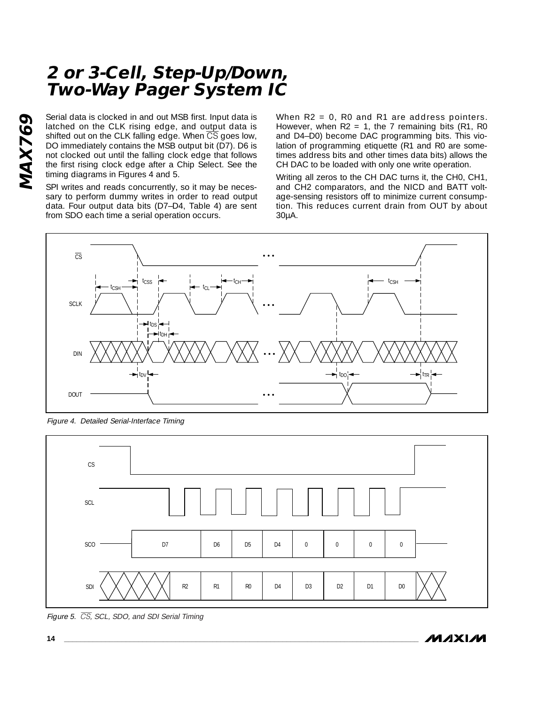Serial data is clocked in and out MSB first. Input data is latched on the CLK rising edge, and output data is shifted out on the CLK falling edge. When  $\overline{\text{CS}}$  goes low, DO immediately contains the MSB output bit (D7). D6 is not clocked out until the falling clock edge that follows the first rising clock edge after a Chip Select. See the timing diagrams in Figures 4 and 5.

SPI writes and reads concurrently, so it may be necessary to perform dummy writes in order to read output data. Four output data bits (D7–D4, Table 4) are sent from SDO each time a serial operation occurs.

When  $R2 = 0$ , RO and R1 are address pointers. However, when  $R2 = 1$ , the 7 remaining bits (R1, R0 and D4–D0) become DAC programming bits. This violation of programming etiquette (R1 and R0 are sometimes address bits and other times data bits) allows the CH DAC to be loaded with only one write operation.

Writing all zeros to the CH DAC turns it, the CH0, CH1, and CH2 comparators, and the NICD and BATT voltage-sensing resistors off to minimize current consumption. This reduces current drain from OUT by about 30µA.



Figure 4. Detailed Serial-Interface Timing



Figure 5. CS, SCL, SDO, and SDI Serial Timing

*IVI A* XI*IV*I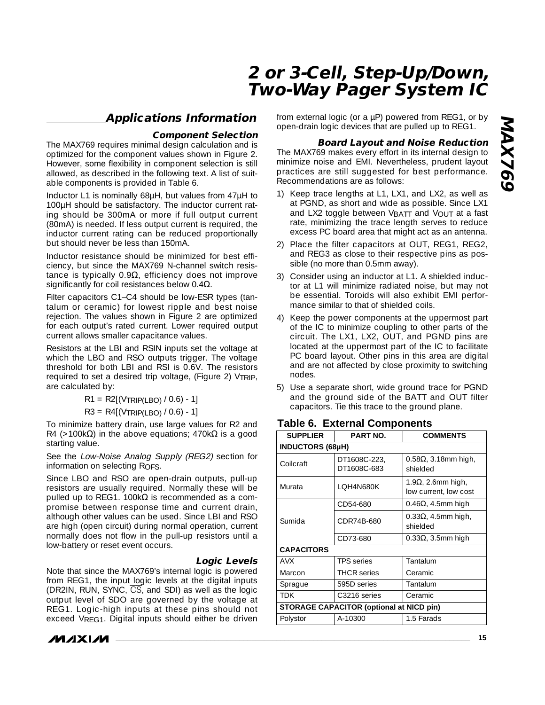### **Applications Information**

#### **Component Selection**

The MAX769 requires minimal design calculation and is optimized for the component values shown in Figure 2. However, some flexibility in component selection is still allowed, as described in the following text. A list of suitable components is provided in Table 6.

Inductor L1 is nominally 68µH, but values from 47µH to 100µH should be satisfactory. The inductor current rating should be 300mA or more if full output current (80mA) is needed. If less output current is required, the inductor current rating can be reduced proportionally but should never be less than 150mA.

Inductor resistance should be minimized for best efficiency, but since the MAX769 N-channel switch resistance is typically 0.9 $Ω$ , efficiency does not improve significantly for coil resistances below  $0.4\Omega$ .

Filter capacitors C1–C4 should be low-ESR types (tantalum or ceramic) for lowest ripple and best noise rejection. The values shown in Figure 2 are optimized for each output's rated current. Lower required output current allows smaller capacitance values.

Resistors at the LBI and RSIN inputs set the voltage at which the LBO and RSO outputs trigger. The voltage threshold for both LBI and RSI is 0.6V. The resistors required to set a desired trip voltage, (Figure 2) VTRIP, are calculated by:

 $R1 = R2[(VTRIP(LBO) / 0.6) - 1]$ 

 $R3 = R4[(VTRIP(LEO) / 0.6) - 1]$ 

To minimize battery drain, use large values for R2 and R4 (>100k $\Omega$ ) in the above equations; 470k $\Omega$  is a good starting value.

See the Low-Noise Analog Supply (REG2) section for information on selecting RoFS.

Since LBO and RSO are open-drain outputs, pull-up resistors are usually required. Normally these will be pulled up to REG1. 100kΩ is recommended as a compromise between response time and current drain, although other values can be used. Since LBI and RSO are high (open circuit) during normal operation, current normally does not flow in the pull-up resistors until a low-battery or reset event occurs.

#### **Logic Levels**

Note that since the MAX769's internal logic is powered from REG1, the input logic levels at the digital inputs (DR2IN, RUN, SYNC,  $\overline{CS}$ , and SDI) as well as the logic output level of SDO are governed by the voltage at REG1. Logic-high inputs at these pins should not exceed VREG1. Digital inputs should either be driven



from external logic (or a µP) powered from REG1, or by open-drain logic devices that are pulled up to REG1.

#### **Board Layout and Noise Reduction**

The MAX769 makes every effort in its internal design to minimize noise and EMI. Nevertheless, prudent layout practices are still suggested for best performance. Recommendations are as follows:

- 1) Keep trace lengths at L1, LX1, and LX2, as well as at PGND, as short and wide as possible. Since LX1 and LX2 toggle between VBATT and VOUT at a fast rate, minimizing the trace length serves to reduce excess PC board area that might act as an antenna.
- 2) Place the filter capacitors at OUT, REG1, REG2, and REG3 as close to their respective pins as possible (no more than 0.5mm away).
- 3) Consider using an inductor at L1. A shielded inductor at L1 will minimize radiated noise, but may not be essential. Toroids will also exhibit EMI performance similar to that of shielded coils.
- 4) Keep the power components at the uppermost part of the IC to minimize coupling to other parts of the circuit. The LX1, LX2, OUT, and PGND pins are located at the uppermost part of the IC to facilitate PC board layout. Other pins in this area are digital and are not affected by close proximity to switching nodes.
- 5) Use a separate short, wide ground trace for PGND and the ground side of the BATT and OUT filter capacitors. Tie this trace to the ground plane.

| <b>SUPPLIER</b>                                 | <b>PART NO.</b>             | <b>COMMENTS</b>                                     |
|-------------------------------------------------|-----------------------------|-----------------------------------------------------|
| <b>INDUCTORS (68µH)</b>                         |                             |                                                     |
| Collcraft                                       | DT1608C-223,<br>DT1608C-683 | $0.58\Omega$ , 3.18mm high,<br>shielded             |
| Murata                                          | LOH4N680K                   | 1.9 $\Omega$ , 2.6mm high,<br>low current, low cost |
| Sumida                                          | CD54-680                    | 0.46 $\Omega$ , 4.5mm high                          |
|                                                 | CDR74B-680                  | $0.33\Omega$ , 4.5mm high,<br>shielded              |
|                                                 | CD73-680                    | $0.33\Omega$ , 3.5mm high                           |
| <b>CAPACITORS</b>                               |                             |                                                     |
| AVX                                             | <b>TPS</b> series           | Tantalum                                            |
| Marcon                                          | <b>THCR</b> series          | Ceramic                                             |
| Sprague                                         | 595D series                 | Tantalum                                            |
| TDK                                             | C3216 series                | Ceramic                                             |
| <b>STORAGE CAPACITOR (optional at NICD pin)</b> |                             |                                                     |
| Polystor                                        | A-10300                     | 1.5 Farads                                          |

#### **Table 6. External Components**